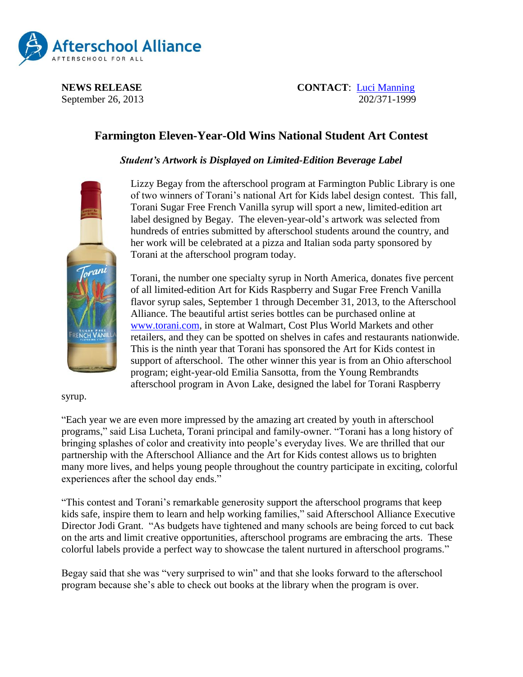

**NEWS RELEASE CONTACT:** [Luci Manning](mailto:luci@prsolutionsdc.com) September 26, 2013 202/371-1999

## **Farmington Eleven-Year-Old Wins National Student Art Contest**

*Student's Artwork is Displayed on Limited-Edition Beverage Label*



Lizzy Begay from the afterschool program at Farmington Public Library is one of two winners of Torani's national Art for Kids label design contest. This fall, Torani Sugar Free French Vanilla syrup will sport a new, limited-edition art label designed by Begay. The eleven-year-old's artwork was selected from hundreds of entries submitted by afterschool students around the country, and her work will be celebrated at a pizza and Italian soda party sponsored by Torani at the afterschool program today.

Torani, the number one specialty syrup in North America, donates five percent of all limited-edition Art for Kids Raspberry and Sugar Free French Vanilla flavor syrup sales, September 1 through December 31, 2013, to the Afterschool Alliance. The beautiful artist series bottles can be purchased online at [www.torani.com,](http://www.torani.com/) in store at Walmart, Cost Plus World Markets and other retailers, and they can be spotted on shelves in cafes and restaurants nationwide. This is the ninth year that Torani has sponsored the Art for Kids contest in support of afterschool. The other winner this year is from an Ohio afterschool program; eight-year-old Emilia Sansotta, from the Young Rembrandts afterschool program in Avon Lake, designed the label for Torani Raspberry

syrup.

"Each year we are even more impressed by the amazing art created by youth in afterschool programs," said Lisa Lucheta, Torani principal and family-owner. "Torani has a long history of bringing splashes of color and creativity into people's everyday lives. We are thrilled that our partnership with the Afterschool Alliance and the Art for Kids contest allows us to brighten many more lives, and helps young people throughout the country participate in exciting, colorful experiences after the school day ends."

"This contest and Torani's remarkable generosity support the afterschool programs that keep kids safe, inspire them to learn and help working families," said Afterschool Alliance Executive Director Jodi Grant. "As budgets have tightened and many schools are being forced to cut back on the arts and limit creative opportunities, afterschool programs are embracing the arts. These colorful labels provide a perfect way to showcase the talent nurtured in afterschool programs."

Begay said that she was "very surprised to win" and that she looks forward to the afterschool program because she's able to check out books at the library when the program is over.